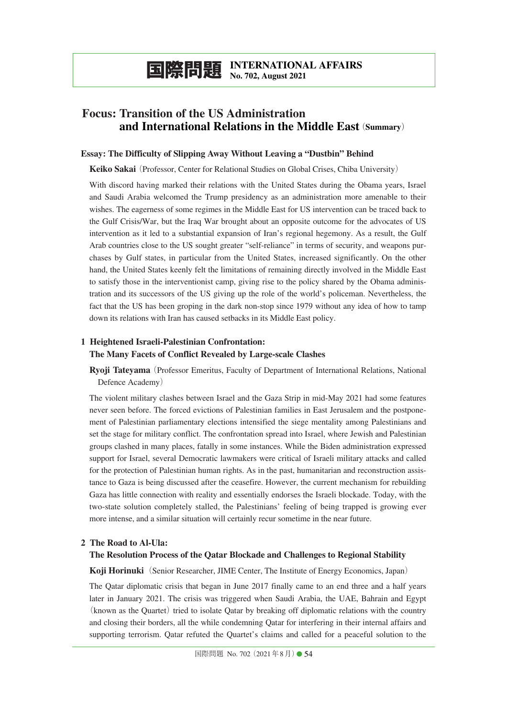**国際問題 INTERNATIONAL AFFAIRS No. 702, August 2021**

# **Focus: Transition of the US Administration Focus: and International Relations in the Middle East**(**Summary**)

### **Essay: The Difficulty of Slipping Away Without Leaving a "Dustbin" Behind**

**Keiko Sakai**(Professor, Center for Relational Studies on Global Crises, Chiba University)

With discord having marked their relations with the United States during the Obama years, Israel and Saudi Arabia welcomed the Trump presidency as an administration more amenable to their wishes. The eagerness of some regimes in the Middle East for US intervention can be traced back to the Gulf Crisis/War, but the Iraq War brought about an opposite outcome for the advocates of US intervention as it led to a substantial expansion of Iran's regional hegemony. As a result, the Gulf Arab countries close to the US sought greater "self-reliance" in terms of security, and weapons purchases by Gulf states, in particular from the United States, increased significantly. On the other hand, the United States keenly felt the limitations of remaining directly involved in the Middle East to satisfy those in the interventionist camp, giving rise to the policy shared by the Obama administration and its successors of the US giving up the role of the world's policeman. Nevertheless, the fact that the US has been groping in the dark non-stop since 1979 without any idea of how to tamp down its relations with Iran has caused setbacks in its Middle East policy.

# **1 Heightened Israeli-Palestinian Confrontation: The Many Facets of Conflict Revealed by Large-scale Clashes**

**Ryoji Tateyama**(Professor Emeritus, Faculty of Department of International Relations, National Defence Academy)

The violent military clashes between Israel and the Gaza Strip in mid-May 2021 had some features never seen before. The forced evictions of Palestinian families in East Jerusalem and the postponement of Palestinian parliamentary elections intensified the siege mentality among Palestinians and set the stage for military conflict. The confrontation spread into Israel, where Jewish and Palestinian groups clashed in many places, fatally in some instances. While the Biden administration expressed support for Israel, several Democratic lawmakers were critical of Israeli military attacks and called for the protection of Palestinian human rights. As in the past, humanitarian and reconstruction assistance to Gaza is being discussed after the ceasefire. However, the current mechanism for rebuilding Gaza has little connection with reality and essentially endorses the Israeli blockade. Today, with the two-state solution completely stalled, the Palestinians' feeling of being trapped is growing ever more intense, and a similar situation will certainly recur sometime in the near future.

### **2 The Road to Al-Ula:**

### **The Resolution Process of the Qatar Blockade and Challenges to Regional Stability**

**Koji Horinuki**(Senior Researcher, JIME Center, The Institute of Energy Economics, Japan)

The Qatar diplomatic crisis that began in June 2017 finally came to an end three and a half years later in January 2021. The crisis was triggered when Saudi Arabia, the UAE, Bahrain and Egypt  $(known as the Quartet)$  tried to isolate Qatar by breaking off diplomatic relations with the country and closing their borders, all the while condemning Qatar for interfering in their internal affairs and supporting terrorism. Qatar refuted the Quartet's claims and called for a peaceful solution to the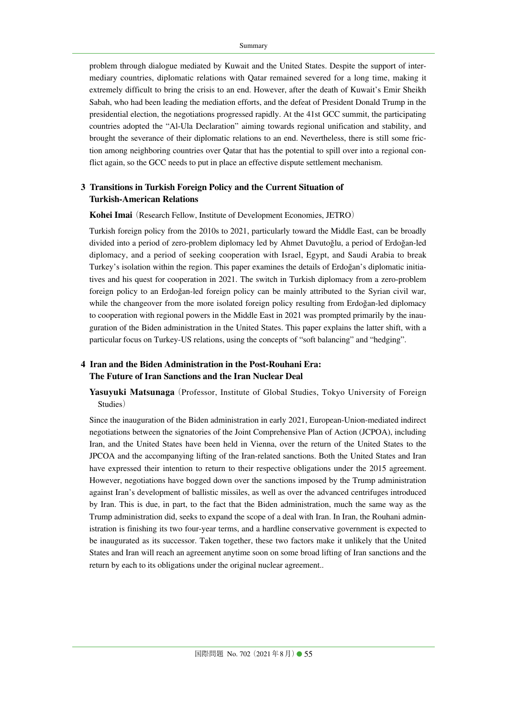problem through dialogue mediated by Kuwait and the United States. Despite the support of intermediary countries, diplomatic relations with Qatar remained severed for a long time, making it extremely difficult to bring the crisis to an end. However, after the death of Kuwait's Emir Sheikh Sabah, who had been leading the mediation efforts, and the defeat of President Donald Trump in the presidential election, the negotiations progressed rapidly. At the 41st GCC summit, the participating countries adopted the "Al-Ula Declaration" aiming towards regional unification and stability, and brought the severance of their diplomatic relations to an end. Nevertheless, there is still some friction among neighboring countries over Qatar that has the potential to spill over into a regional conflict again, so the GCC needs to put in place an effective dispute settlement mechanism.

## **3 Transitions in Turkish Foreign Policy and the Current Situation of Turkish-American Relations**

#### **Kohei Imai** (Research Fellow, Institute of Development Economies, JETRO)

Turkish foreign policy from the 2010s to 2021, particularly toward the Middle East, can be broadly divided into a period of zero-problem diplomacy led by Ahmet Davutoğlu, a period of Erdoğan-led diplomacy, and a period of seeking cooperation with Israel, Egypt, and Saudi Arabia to break Turkey's isolation within the region. This paper examines the details of Erdoğan's diplomatic initiatives and his quest for cooperation in 2021. The switch in Turkish diplomacy from a zero-problem foreign policy to an Erdoğan-led foreign policy can be mainly attributed to the Syrian civil war, while the changeover from the more isolated foreign policy resulting from Erdoğan-led diplomacy to cooperation with regional powers in the Middle East in 2021 was prompted primarily by the inauguration of the Biden administration in the United States. This paper explains the latter shift, with a particular focus on Turkey-US relations, using the concepts of "soft balancing" and "hedging".

## **4 Iran and the Biden Administration in the Post-Rouhani Era: The Future of Iran Sanctions and the Iran Nuclear Deal**

Yasuyuki Matsunaga (Professor, Institute of Global Studies, Tokyo University of Foreign Studies)

Since the inauguration of the Biden administration in early 2021, European-Union-mediated indirect negotiations between the signatories of the Joint Comprehensive Plan of Action (JCPOA), including Iran, and the United States have been held in Vienna, over the return of the United States to the JPCOA and the accompanying lifting of the Iran-related sanctions. Both the United States and Iran have expressed their intention to return to their respective obligations under the 2015 agreement. However, negotiations have bogged down over the sanctions imposed by the Trump administration against Iran's development of ballistic missiles, as well as over the advanced centrifuges introduced by Iran. This is due, in part, to the fact that the Biden administration, much the same way as the Trump administration did, seeks to expand the scope of a deal with Iran. In Iran, the Rouhani administration is finishing its two four-year terms, and a hardline conservative government is expected to be inaugurated as its successor. Taken together, these two factors make it unlikely that the United States and Iran will reach an agreement anytime soon on some broad lifting of Iran sanctions and the return by each to its obligations under the original nuclear agreement..